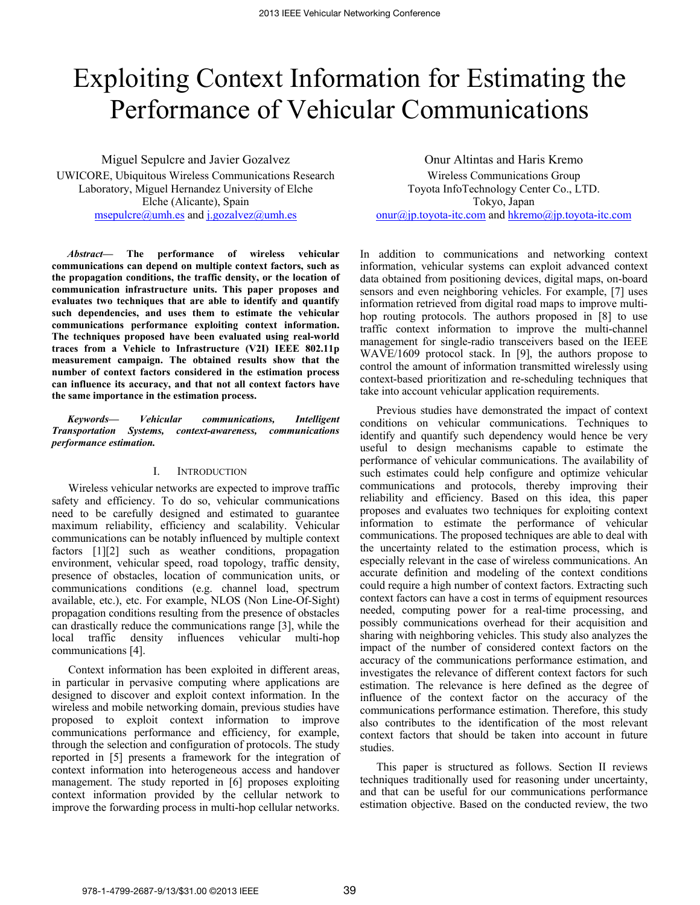# Exploiting Context Information for Estimating the Performance of Vehicular Communications

Miguel Sepulcre and Javier Gozalvez UWICORE, Ubiquitous Wireless Communications Research Laboratory, Miguel Hernandez University of Elche Elche (Alicante), Spain msepulcre@umh.es and j.gozalvez@umh.es

*Abstract—* **The performance of wireless vehicular communications can depend on multiple context factors, such as the propagation conditions, the traffic density, or the location of communication infrastructure units. This paper proposes and evaluates two techniques that are able to identify and quantify such dependencies, and uses them to estimate the vehicular communications performance exploiting context information. The techniques proposed have been evaluated using real-world traces from a Vehicle to Infrastructure (V2I) IEEE 802.11p measurement campaign. The obtained results show that the number of context factors considered in the estimation process can influence its accuracy, and that not all context factors have the same importance in the estimation process.** 

*Keywords— Vehicular communications, Intelligent Transportation Systems, context-awareness, communications performance estimation.* 

## I. INTRODUCTION

Wireless vehicular networks are expected to improve traffic safety and efficiency. To do so, vehicular communications need to be carefully designed and estimated to guarantee maximum reliability, efficiency and scalability. Vehicular communications can be notably influenced by multiple context factors [1][2] such as weather conditions, propagation environment, vehicular speed, road topology, traffic density, presence of obstacles, location of communication units, or communications conditions (e.g. channel load, spectrum available, etc.), etc. For example, NLOS (Non Line-Of-Sight) propagation conditions resulting from the presence of obstacles can drastically reduce the communications range [3], while the local traffic density influences vehicular multi-hop communications [4].

Context information has been exploited in different areas, in particular in pervasive computing where applications are designed to discover and exploit context information. In the wireless and mobile networking domain, previous studies have proposed to exploit context information to improve communications performance and efficiency, for example, through the selection and configuration of protocols. The study reported in [5] presents a framework for the integration of context information into heterogeneous access and handover management. The study reported in [6] proposes exploiting context information provided by the cellular network to improve the forwarding process in multi-hop cellular networks.

Onur Altintas and Haris Kremo Wireless Communications Group Toyota InfoTechnology Center Co., LTD. Tokyo, Japan onur@jp.toyota-itc.com and hkremo@jp.toyota-itc.com

In addition to communications and networking context information, vehicular systems can exploit advanced context data obtained from positioning devices, digital maps, on-board sensors and even neighboring vehicles. For example, [7] uses information retrieved from digital road maps to improve multihop routing protocols. The authors proposed in [8] to use traffic context information to improve the multi-channel management for single-radio transceivers based on the IEEE WAVE/1609 protocol stack. In [9], the authors propose to control the amount of information transmitted wirelessly using context-based prioritization and re-scheduling techniques that take into account vehicular application requirements.

Previous studies have demonstrated the impact of context conditions on vehicular communications. Techniques to identify and quantify such dependency would hence be very useful to design mechanisms capable to estimate the performance of vehicular communications. The availability of such estimates could help configure and optimize vehicular communications and protocols, thereby improving their reliability and efficiency. Based on this idea, this paper proposes and evaluates two techniques for exploiting context information to estimate the performance of vehicular communications. The proposed techniques are able to deal with the uncertainty related to the estimation process, which is especially relevant in the case of wireless communications. An accurate definition and modeling of the context conditions could require a high number of context factors. Extracting such context factors can have a cost in terms of equipment resources needed, computing power for a real-time processing, and possibly communications overhead for their acquisition and sharing with neighboring vehicles. This study also analyzes the impact of the number of considered context factors on the accuracy of the communications performance estimation, and investigates the relevance of different context factors for such estimation. The relevance is here defined as the degree of influence of the context factor on the accuracy of the communications performance estimation. Therefore, this study also contributes to the identification of the most relevant context factors that should be taken into account in future studies.

This paper is structured as follows. Section II reviews techniques traditionally used for reasoning under uncertainty, and that can be useful for our communications performance estimation objective. Based on the conducted review, the two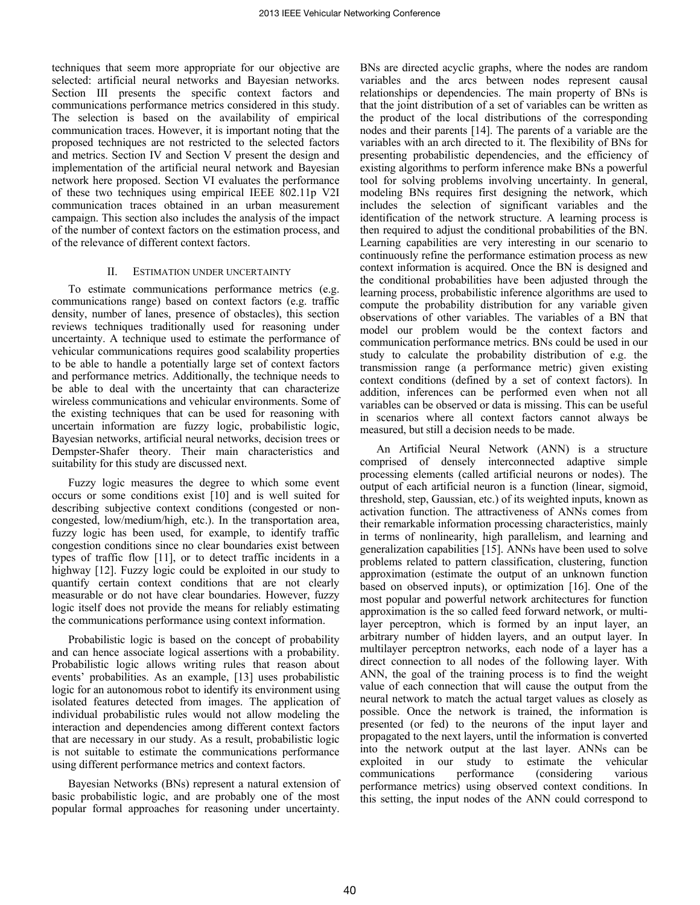techniques that seem more appropriate for our objective are selected: artificial neural networks and Bayesian networks. Section III presents the specific context factors and communications performance metrics considered in this study. The selection is based on the availability of empirical communication traces. However, it is important noting that the proposed techniques are not restricted to the selected factors and metrics. Section IV and Section V present the design and implementation of the artificial neural network and Bayesian network here proposed. Section VI evaluates the performance of these two techniques using empirical IEEE 802.11p V2I communication traces obtained in an urban measurement campaign. This section also includes the analysis of the impact of the number of context factors on the estimation process, and of the relevance of different context factors.

## II. ESTIMATION UNDER UNCERTAINTY

To estimate communications performance metrics (e.g. communications range) based on context factors (e.g. traffic density, number of lanes, presence of obstacles), this section reviews techniques traditionally used for reasoning under uncertainty. A technique used to estimate the performance of vehicular communications requires good scalability properties to be able to handle a potentially large set of context factors and performance metrics. Additionally, the technique needs to be able to deal with the uncertainty that can characterize wireless communications and vehicular environments. Some of the existing techniques that can be used for reasoning with uncertain information are fuzzy logic, probabilistic logic, Bayesian networks, artificial neural networks, decision trees or Dempster-Shafer theory. Their main characteristics and suitability for this study are discussed next.

Fuzzy logic measures the degree to which some event occurs or some conditions exist [10] and is well suited for describing subjective context conditions (congested or noncongested, low/medium/high, etc.). In the transportation area, fuzzy logic has been used, for example, to identify traffic congestion conditions since no clear boundaries exist between types of traffic flow [11], or to detect traffic incidents in a highway [12]. Fuzzy logic could be exploited in our study to quantify certain context conditions that are not clearly measurable or do not have clear boundaries. However, fuzzy logic itself does not provide the means for reliably estimating the communications performance using context information.

Probabilistic logic is based on the concept of probability and can hence associate logical assertions with a probability. Probabilistic logic allows writing rules that reason about events' probabilities. As an example, [13] uses probabilistic logic for an autonomous robot to identify its environment using isolated features detected from images. The application of individual probabilistic rules would not allow modeling the interaction and dependencies among different context factors that are necessary in our study. As a result, probabilistic logic is not suitable to estimate the communications performance using different performance metrics and context factors.

Bayesian Networks (BNs) represent a natural extension of basic probabilistic logic, and are probably one of the most popular formal approaches for reasoning under uncertainty.

BNs are directed acyclic graphs, where the nodes are random variables and the arcs between nodes represent causal relationships or dependencies. The main property of BNs is that the joint distribution of a set of variables can be written as the product of the local distributions of the corresponding nodes and their parents [14]. The parents of a variable are the variables with an arch directed to it. The flexibility of BNs for presenting probabilistic dependencies, and the efficiency of existing algorithms to perform inference make BNs a powerful tool for solving problems involving uncertainty. In general, modeling BNs requires first designing the network, which includes the selection of significant variables and the identification of the network structure. A learning process is then required to adjust the conditional probabilities of the BN. Learning capabilities are very interesting in our scenario to continuously refine the performance estimation process as new context information is acquired. Once the BN is designed and the conditional probabilities have been adjusted through the learning process, probabilistic inference algorithms are used to compute the probability distribution for any variable given observations of other variables. The variables of a BN that model our problem would be the context factors and communication performance metrics. BNs could be used in our study to calculate the probability distribution of e.g. the transmission range (a performance metric) given existing context conditions (defined by a set of context factors). In addition, inferences can be performed even when not all variables can be observed or data is missing. This can be useful in scenarios where all context factors cannot always be measured, but still a decision needs to be made.

An Artificial Neural Network (ANN) is a structure comprised of densely interconnected adaptive simple processing elements (called artificial neurons or nodes). The output of each artificial neuron is a function (linear, sigmoid, threshold, step, Gaussian, etc.) of its weighted inputs, known as activation function. The attractiveness of ANNs comes from their remarkable information processing characteristics, mainly in terms of nonlinearity, high parallelism, and learning and generalization capabilities [15]. ANNs have been used to solve problems related to pattern classification, clustering, function approximation (estimate the output of an unknown function based on observed inputs), or optimization [16]. One of the most popular and powerful network architectures for function approximation is the so called feed forward network, or multilayer perceptron, which is formed by an input layer, an arbitrary number of hidden layers, and an output layer. In multilayer perceptron networks, each node of a layer has a direct connection to all nodes of the following layer. With ANN, the goal of the training process is to find the weight value of each connection that will cause the output from the neural network to match the actual target values as closely as possible. Once the network is trained, the information is presented (or fed) to the neurons of the input layer and propagated to the next layers, until the information is converted into the network output at the last layer. ANNs can be exploited in our study to estimate the vehicular communications performance (considering various performance metrics) using observed context conditions. In this setting, the input nodes of the ANN could correspond to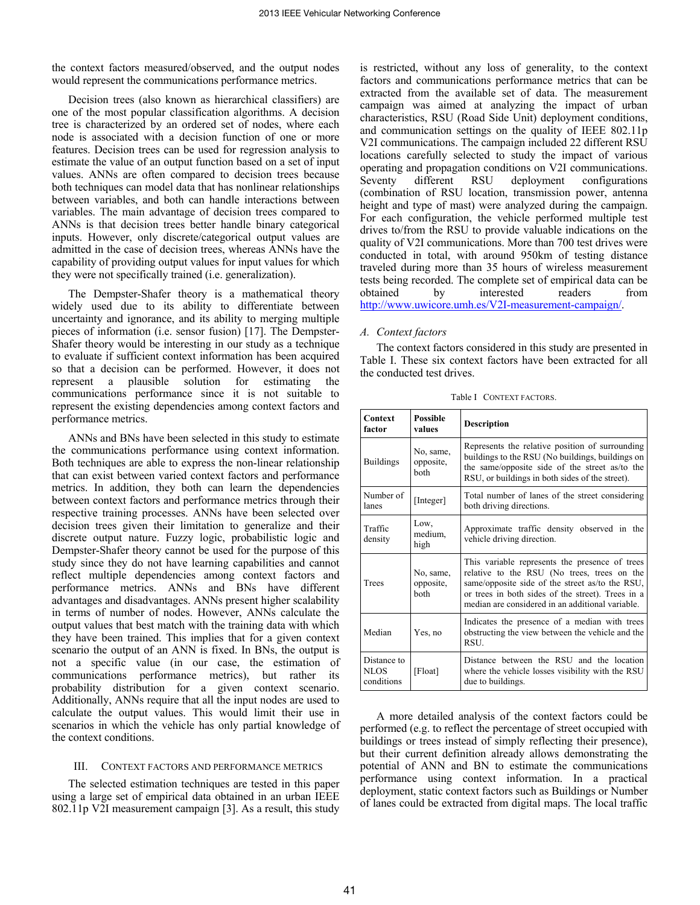the context factors measured/observed, and the output nodes would represent the communications performance metrics.

Decision trees (also known as hierarchical classifiers) are one of the most popular classification algorithms. A decision tree is characterized by an ordered set of nodes, where each node is associated with a decision function of one or more features. Decision trees can be used for regression analysis to estimate the value of an output function based on a set of input values. ANNs are often compared to decision trees because both techniques can model data that has nonlinear relationships between variables, and both can handle interactions between variables. The main advantage of decision trees compared to ANNs is that decision trees better handle binary categorical inputs. However, only discrete/categorical output values are admitted in the case of decision trees, whereas ANNs have the capability of providing output values for input values for which they were not specifically trained (i.e. generalization).

The Dempster-Shafer theory is a mathematical theory widely used due to its ability to differentiate between uncertainty and ignorance, and its ability to merging multiple pieces of information (i.e. sensor fusion) [17]. The Dempster-Shafer theory would be interesting in our study as a technique to evaluate if sufficient context information has been acquired so that a decision can be performed. However, it does not represent a plausible solution for estimating the communications performance since it is not suitable to represent the existing dependencies among context factors and performance metrics.

ANNs and BNs have been selected in this study to estimate the communications performance using context information. Both techniques are able to express the non-linear relationship that can exist between varied context factors and performance metrics. In addition, they both can learn the dependencies between context factors and performance metrics through their respective training processes. ANNs have been selected over decision trees given their limitation to generalize and their discrete output nature. Fuzzy logic, probabilistic logic and Dempster-Shafer theory cannot be used for the purpose of this study since they do not have learning capabilities and cannot reflect multiple dependencies among context factors and performance metrics. ANNs and BNs have different advantages and disadvantages. ANNs present higher scalability in terms of number of nodes. However, ANNs calculate the output values that best match with the training data with which they have been trained. This implies that for a given context scenario the output of an ANN is fixed. In BNs, the output is not a specific value (in our case, the estimation of communications performance metrics), but rather its probability distribution for a given context scenario. Additionally, ANNs require that all the input nodes are used to calculate the output values. This would limit their use in scenarios in which the vehicle has only partial knowledge of the context conditions.

## III. CONTEXT FACTORS AND PERFORMANCE METRICS

The selected estimation techniques are tested in this paper using a large set of empirical data obtained in an urban IEEE 802.11p V2I measurement campaign [3]. As a result, this study is restricted, without any loss of generality, to the context factors and communications performance metrics that can be extracted from the available set of data. The measurement campaign was aimed at analyzing the impact of urban characteristics, RSU (Road Side Unit) deployment conditions, and communication settings on the quality of IEEE 802.11p V2I communications. The campaign included 22 different RSU locations carefully selected to study the impact of various operating and propagation conditions on V2I communications. Seventy different RSU deployment configurations (combination of RSU location, transmission power, antenna height and type of mast) were analyzed during the campaign. For each configuration, the vehicle performed multiple test drives to/from the RSU to provide valuable indications on the quality of V2I communications. More than 700 test drives were conducted in total, with around 950km of testing distance traveled during more than 35 hours of wireless measurement tests being recorded. The complete set of empirical data can be obtained by interested readers from http://www.uwicore.umh.es/V2I-measurement-campaign/.

## *A. Context factors*

The context factors considered in this study are presented in Table I. These six context factors have been extracted for all the conducted test drives.

|  | Table I CONTEXT FACTORS. |
|--|--------------------------|
|--|--------------------------|

| Context<br>factor                        | <b>Possible</b><br>values      | <b>Description</b>                                                                                                                                                                                                                                        |
|------------------------------------------|--------------------------------|-----------------------------------------------------------------------------------------------------------------------------------------------------------------------------------------------------------------------------------------------------------|
| <b>Buildings</b>                         | No, same,<br>opposite,<br>both | Represents the relative position of surrounding<br>buildings to the RSU (No buildings, buildings on<br>the same/opposite side of the street as/to the<br>RSU, or buildings in both sides of the street).                                                  |
| Number of<br>lanes                       | [Integer]                      | Total number of lanes of the street considering<br>both driving directions.                                                                                                                                                                               |
| Traffic<br>density                       | Low,<br>medium,<br>high        | Approximate traffic density observed in the<br>vehicle driving direction.                                                                                                                                                                                 |
| Trees                                    | No, same,<br>opposite,<br>both | This variable represents the presence of trees<br>relative to the RSU (No trees, trees on the<br>same/opposite side of the street as/to the RSU,<br>or trees in both sides of the street). Trees in a<br>median are considered in an additional variable. |
| Median                                   | Yes, no                        | Indicates the presence of a median with trees<br>obstructing the view between the vehicle and the<br>RSU.                                                                                                                                                 |
| Distance to<br><b>NLOS</b><br>conditions | [Float]                        | Distance between the RSU and the location<br>where the vehicle losses visibility with the RSU<br>due to buildings.                                                                                                                                        |

A more detailed analysis of the context factors could be performed (e.g. to reflect the percentage of street occupied with buildings or trees instead of simply reflecting their presence), but their current definition already allows demonstrating the potential of ANN and BN to estimate the communications performance using context information. In a practical deployment, static context factors such as Buildings or Number of lanes could be extracted from digital maps. The local traffic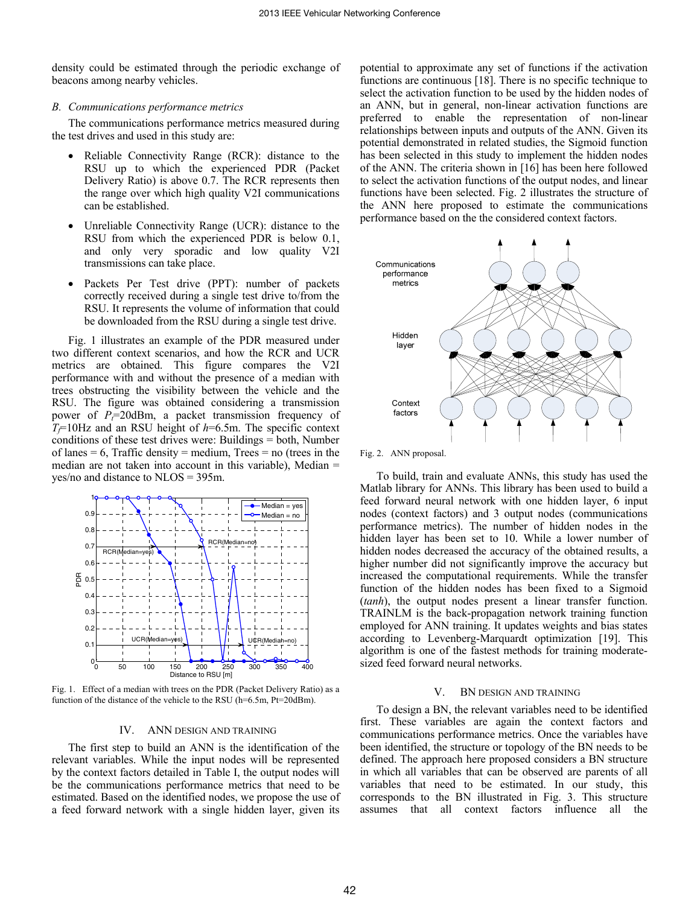density could be estimated through the periodic exchange of beacons among nearby vehicles.

## *B. Communications performance metrics*

The communications performance metrics measured during the test drives and used in this study are:

- Reliable Connectivity Range (RCR): distance to the RSU up to which the experienced PDR (Packet Delivery Ratio) is above 0.7. The RCR represents then the range over which high quality V2I communications can be established.
- Unreliable Connectivity Range (UCR): distance to the RSU from which the experienced PDR is below 0.1, and only very sporadic and low quality V2I transmissions can take place.
- Packets Per Test drive (PPT): number of packets correctly received during a single test drive to/from the RSU. It represents the volume of information that could be downloaded from the RSU during a single test drive.

Fig. 1 illustrates an example of the PDR measured under two different context scenarios, and how the RCR and UCR metrics are obtained. This figure compares the V2I performance with and without the presence of a median with trees obstructing the visibility between the vehicle and the RSU. The figure was obtained considering a transmission power of  $P_t$ =20dBm, a packet transmission frequency of  $T_f$ =10Hz and an RSU height of *h*=6.5m. The specific context conditions of these test drives were: Buildings = both, Number of lanes  $= 6$ , Traffic density  $=$  medium, Trees  $=$  no (trees in the median are not taken into account in this variable), Median = yes/no and distance to NLOS = 395m.



Fig. 1. Effect of a median with trees on the PDR (Packet Delivery Ratio) as a function of the distance of the vehicle to the RSU (h=6.5m, Pt=20dBm).

## IV. ANN DESIGN AND TRAINING

The first step to build an ANN is the identification of the relevant variables. While the input nodes will be represented by the context factors detailed in Table I, the output nodes will be the communications performance metrics that need to be estimated. Based on the identified nodes, we propose the use of a feed forward network with a single hidden layer, given its potential to approximate any set of functions if the activation functions are continuous [18]. There is no specific technique to select the activation function to be used by the hidden nodes of an ANN, but in general, non-linear activation functions are preferred to enable the representation of non-linear relationships between inputs and outputs of the ANN. Given its potential demonstrated in related studies, the Sigmoid function has been selected in this study to implement the hidden nodes of the ANN. The criteria shown in [16] has been here followed to select the activation functions of the output nodes, and linear functions have been selected. Fig. 2 illustrates the structure of the ANN here proposed to estimate the communications performance based on the the considered context factors.



Fig. 2. ANN proposal.

To build, train and evaluate ANNs, this study has used the Matlab library for ANNs. This library has been used to build a feed forward neural network with one hidden layer, 6 input nodes (context factors) and 3 output nodes (communications performance metrics). The number of hidden nodes in the hidden layer has been set to 10. While a lower number of hidden nodes decreased the accuracy of the obtained results, a higher number did not significantly improve the accuracy but increased the computational requirements. While the transfer function of the hidden nodes has been fixed to a Sigmoid (*tanh*), the output nodes present a linear transfer function. TRAINLM is the back-propagation network training function employed for ANN training. It updates weights and bias states according to Levenberg-Marquardt optimization [19]. This algorithm is one of the fastest methods for training moderatesized feed forward neural networks.

## V. BN DESIGN AND TRAINING

To design a BN, the relevant variables need to be identified first. These variables are again the context factors and communications performance metrics. Once the variables have been identified, the structure or topology of the BN needs to be defined. The approach here proposed considers a BN structure in which all variables that can be observed are parents of all variables that need to be estimated. In our study, this corresponds to the BN illustrated in Fig. 3. This structure assumes that all context factors influence all the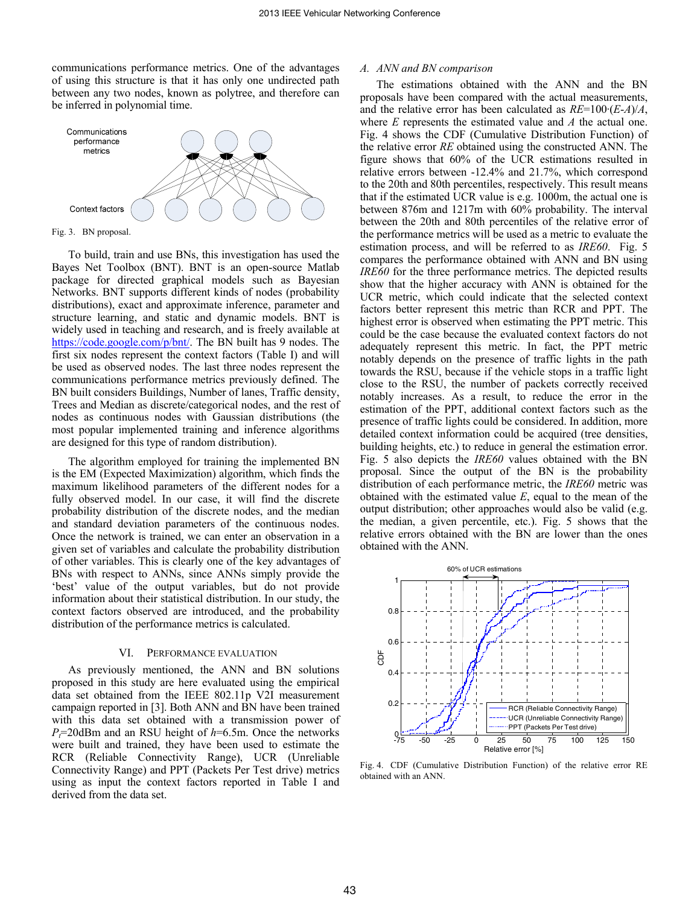communications performance metrics. One of the advantages of using this structure is that it has only one undirected path between any two nodes, known as polytree, and therefore can be inferred in polynomial time.



Fig. 3. BN proposal.

To build, train and use BNs, this investigation has used the Bayes Net Toolbox (BNT). BNT is an open-source Matlab package for directed graphical models such as Bayesian Networks. BNT supports different kinds of nodes (probability distributions), exact and approximate inference, parameter and structure learning, and static and dynamic models. BNT is widely used in teaching and research, and is freely available at https://code.google.com/p/bnt/. The BN built has 9 nodes. The first six nodes represent the context factors (Table I) and will be used as observed nodes. The last three nodes represent the communications performance metrics previously defined. The BN built considers Buildings, Number of lanes, Traffic density, Trees and Median as discrete/categorical nodes, and the rest of nodes as continuous nodes with Gaussian distributions (the most popular implemented training and inference algorithms are designed for this type of random distribution).

The algorithm employed for training the implemented BN is the EM (Expected Maximization) algorithm, which finds the maximum likelihood parameters of the different nodes for a fully observed model. In our case, it will find the discrete probability distribution of the discrete nodes, and the median and standard deviation parameters of the continuous nodes. Once the network is trained, we can enter an observation in a given set of variables and calculate the probability distribution of other variables. This is clearly one of the key advantages of BNs with respect to ANNs, since ANNs simply provide the 'best' value of the output variables, but do not provide information about their statistical distribution. In our study, the context factors observed are introduced, and the probability distribution of the performance metrics is calculated.

#### VI. PERFORMANCE EVALUATION

As previously mentioned, the ANN and BN solutions proposed in this study are here evaluated using the empirical data set obtained from the IEEE 802.11p V2I measurement campaign reported in [3]. Both ANN and BN have been trained with this data set obtained with a transmission power of  $P_f$ =20dBm and an RSU height of  $h$ =6.5m. Once the networks were built and trained, they have been used to estimate the RCR (Reliable Connectivity Range), UCR (Unreliable Connectivity Range) and PPT (Packets Per Test drive) metrics using as input the context factors reported in Table I and derived from the data set.

#### *A. ANN and BN comparison*

The estimations obtained with the ANN and the BN proposals have been compared with the actual measurements, and the relative error has been calculated as *RE*=100·(*E*-*A*)/*A*, where *E* represents the estimated value and *A* the actual one. Fig. 4 shows the CDF (Cumulative Distribution Function) of the relative error *RE* obtained using the constructed ANN. The figure shows that 60% of the UCR estimations resulted in relative errors between -12.4% and 21.7%, which correspond to the 20th and 80th percentiles, respectively. This result means that if the estimated UCR value is e.g. 1000m, the actual one is between 876m and 1217m with 60% probability. The interval between the 20th and 80th percentiles of the relative error of the performance metrics will be used as a metric to evaluate the estimation process, and will be referred to as *IRE60*. Fig. 5 compares the performance obtained with ANN and BN using *IRE60* for the three performance metrics. The depicted results show that the higher accuracy with ANN is obtained for the UCR metric, which could indicate that the selected context factors better represent this metric than RCR and PPT. The highest error is observed when estimating the PPT metric. This could be the case because the evaluated context factors do not adequately represent this metric. In fact, the PPT metric notably depends on the presence of traffic lights in the path towards the RSU, because if the vehicle stops in a traffic light close to the RSU, the number of packets correctly received notably increases. As a result, to reduce the error in the estimation of the PPT, additional context factors such as the presence of traffic lights could be considered. In addition, more detailed context information could be acquired (tree densities, building heights, etc.) to reduce in general the estimation error. Fig. 5 also depicts the *IRE60* values obtained with the BN proposal. Since the output of the BN is the probability distribution of each performance metric, the *IRE60* metric was obtained with the estimated value *E*, equal to the mean of the output distribution; other approaches would also be valid (e.g. the median, a given percentile, etc.). Fig. 5 shows that the relative errors obtained with the BN are lower than the ones obtained with the ANN.



Fig. 4. CDF (Cumulative Distribution Function) of the relative error RE obtained with an ANN.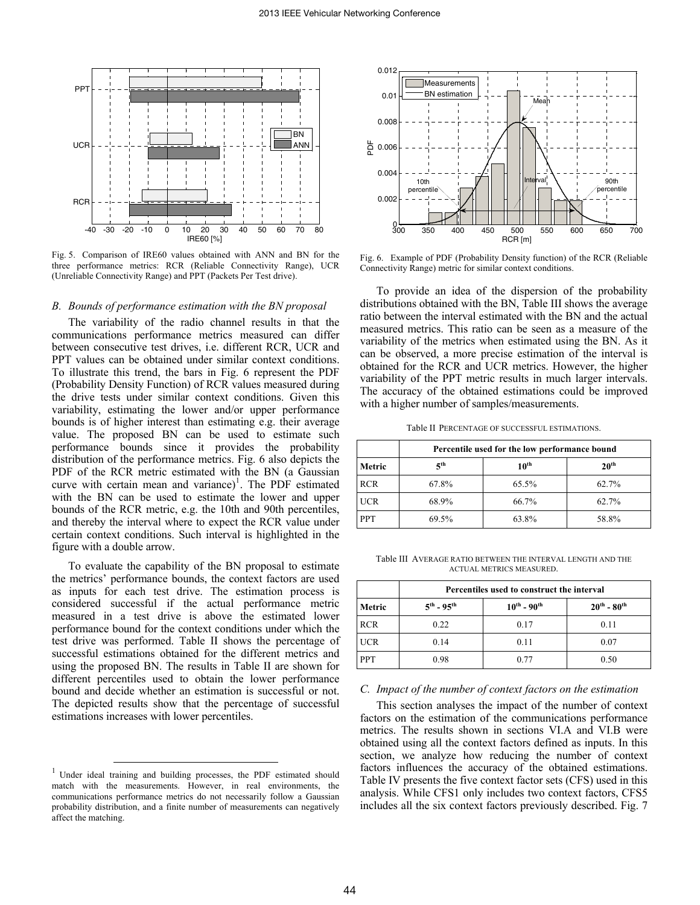

Fig. 5. Comparison of IRE60 values obtained with ANN and BN for the three performance metrics: RCR (Reliable Connectivity Range), UCR (Unreliable Connectivity Range) and PPT (Packets Per Test drive).

## *B. Bounds of performance estimation with the BN proposal*

The variability of the radio channel results in that the communications performance metrics measured can differ between consecutive test drives, i.e. different RCR, UCR and PPT values can be obtained under similar context conditions. To illustrate this trend, the bars in Fig. 6 represent the PDF (Probability Density Function) of RCR values measured during the drive tests under similar context conditions. Given this variability, estimating the lower and/or upper performance bounds is of higher interest than estimating e.g. their average value. The proposed BN can be used to estimate such performance bounds since it provides the probability distribution of the performance metrics. Fig. 6 also depicts the PDF of the RCR metric estimated with the BN (a Gaussian curve with certain mean and variance)<sup>1</sup>. The PDF estimated with the BN can be used to estimate the lower and upper bounds of the RCR metric, e.g. the 10th and 90th percentiles, and thereby the interval where to expect the RCR value under certain context conditions. Such interval is highlighted in the figure with a double arrow.

To evaluate the capability of the BN proposal to estimate the metrics' performance bounds, the context factors are used as inputs for each test drive. The estimation process is considered successful if the actual performance metric measured in a test drive is above the estimated lower performance bound for the context conditions under which the test drive was performed. Table II shows the percentage of successful estimations obtained for the different metrics and using the proposed BN. The results in Table II are shown for different percentiles used to obtain the lower performance bound and decide whether an estimation is successful or not. The depicted results show that the percentage of successful estimations increases with lower percentiles.



Fig. 6. Example of PDF (Probability Density function) of the RCR (Reliable Connectivity Range) metric for similar context conditions.

To provide an idea of the dispersion of the probability distributions obtained with the BN, Table III shows the average ratio between the interval estimated with the BN and the actual measured metrics. This ratio can be seen as a measure of the variability of the metrics when estimated using the BN. As it can be observed, a more precise estimation of the interval is obtained for the RCR and UCR metrics. However, the higher variability of the PPT metric results in much larger intervals. The accuracy of the obtained estimations could be improved with a higher number of samples/measurements.

Table II PERCENTAGE OF SUCCESSFUL ESTIMATIONS.

|            | Percentile used for the low performance bound |                  |                  |  |
|------------|-----------------------------------------------|------------------|------------------|--|
| Metric     | $\mathbf{z}^{\text{th}}$                      | 10 <sup>th</sup> | 20 <sup>th</sup> |  |
| <b>RCR</b> | 67.8%                                         | 65.5%            | 62.7%            |  |
| <b>UCR</b> | 68.9%                                         | 66.7%            | 62.7%            |  |
| <b>PPT</b> | 69.5%                                         | 63.8%            | 58.8%            |  |

Table III AVERAGE RATIO BETWEEN THE INTERVAL LENGTH AND THE ACTUAL METRICS MEASURED.

|            | Percentiles used to construct the interval |                              |                       |  |
|------------|--------------------------------------------|------------------------------|-----------------------|--|
| Metric     | $5^{th}$ - 95 <sup>th</sup>                | $10^{th}$ - 90 <sup>th</sup> | $20^{th}$ - $80^{th}$ |  |
| <b>RCR</b> | 0.22                                       | 0.17                         | 0.11                  |  |
| <b>UCR</b> | 0.14                                       | 0.11                         | 0.07                  |  |
| <b>PPT</b> | 0.98                                       | 0.77                         | 0.50                  |  |

### *C. Impact of the number of context factors on the estimation*

This section analyses the impact of the number of context factors on the estimation of the communications performance metrics. The results shown in sections VI.A and VI.B were obtained using all the context factors defined as inputs. In this section, we analyze how reducing the number of context factors influences the accuracy of the obtained estimations. Table IV presents the five context factor sets (CFS) used in this analysis. While CFS1 only includes two context factors, CFS5 includes all the six context factors previously described. Fig. 7

<sup>&</sup>lt;sup>1</sup> Under ideal training and building processes, the PDF estimated should match with the measurements. However, in real environments, the communications performance metrics do not necessarily follow a Gaussian probability distribution, and a finite number of measurements can negatively affect the matching.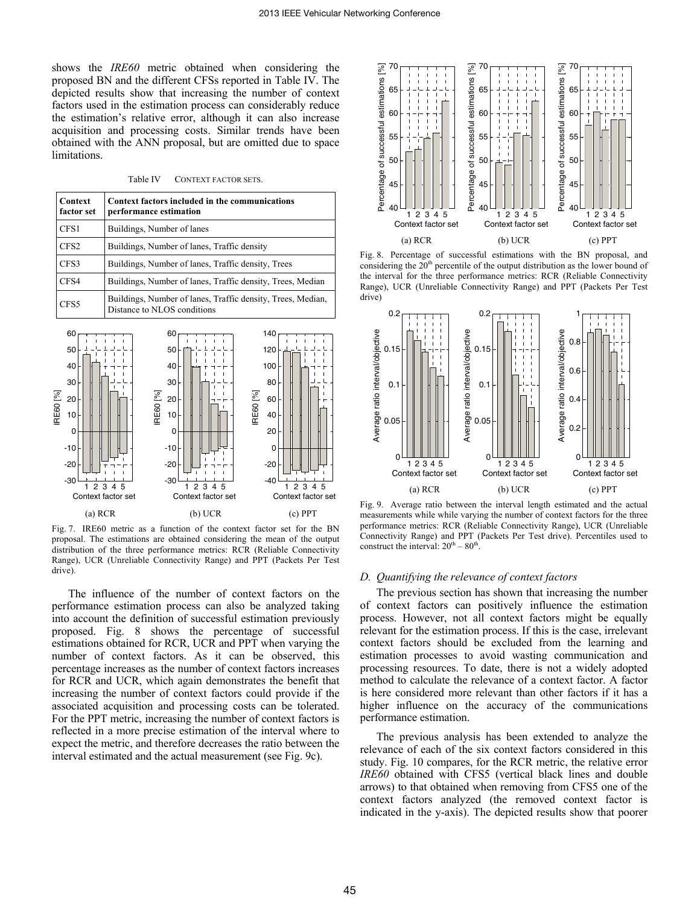shows the *IRE60* metric obtained when considering the proposed BN and the different CFSs reported in Table IV. The depicted results show that increasing the number of context factors used in the estimation process can considerably reduce the estimation's relative error, although it can also increase acquisition and processing costs. Similar trends have been obtained with the ANN proposal, but are omitted due to space limitations.

Table IV CONTEXT FACTOR SETS.

| Context<br>factor set                                                                                                                      | Context factors included in the communications<br>performance estimation                   |                                                                                                                              |                                                                                                                                 |
|--------------------------------------------------------------------------------------------------------------------------------------------|--------------------------------------------------------------------------------------------|------------------------------------------------------------------------------------------------------------------------------|---------------------------------------------------------------------------------------------------------------------------------|
| CFS1                                                                                                                                       | Buildings, Number of lanes                                                                 |                                                                                                                              |                                                                                                                                 |
| CFS <sub>2</sub>                                                                                                                           | Buildings, Number of lanes, Traffic density                                                |                                                                                                                              |                                                                                                                                 |
| CFS3                                                                                                                                       | Buildings, Number of lanes, Traffic density, Trees                                         |                                                                                                                              |                                                                                                                                 |
| CFS4                                                                                                                                       | Buildings, Number of lanes, Traffic density, Trees, Median                                 |                                                                                                                              |                                                                                                                                 |
| CFS5                                                                                                                                       | Buildings, Number of lanes, Traffic density, Trees, Median,<br>Distance to NLOS conditions |                                                                                                                              |                                                                                                                                 |
| 60<br>50<br>40<br>30<br>RE60 <sup>[%]</sup><br>20<br>10<br>0<br>$-10$<br>$-20$<br>$-30$<br>$\mathfrak{p}$<br>Context factor set<br>(a) RCR | RE60 <sup>[%]</sup><br>3 4 5                                                               | 60<br>50<br>40<br>30<br>20<br>10<br>0<br>$-10$<br>$-20$<br>$-30$<br>$\overline{2}$<br>3 4 5<br>Context factor set<br>(b) UCR | 140<br>120<br>100<br>80<br>RE60 [%]<br>60<br>40<br>20<br>0<br>$-20$<br>$-40$<br>2 3 4 5<br>1<br>Context factor set<br>$(c)$ PPT |

Fig. 7. IRE60 metric as a function of the context factor set for the BN proposal. The estimations are obtained considering the mean of the output distribution of the three performance metrics: RCR (Reliable Connectivity Range), UCR (Unreliable Connectivity Range) and PPT (Packets Per Test drive).

The influence of the number of context factors on the performance estimation process can also be analyzed taking into account the definition of successful estimation previously proposed. Fig. 8 shows the percentage of successful estimations obtained for RCR, UCR and PPT when varying the number of context factors. As it can be observed, this percentage increases as the number of context factors increases for RCR and UCR, which again demonstrates the benefit that increasing the number of context factors could provide if the associated acquisition and processing costs can be tolerated. For the PPT metric, increasing the number of context factors is reflected in a more precise estimation of the interval where to expect the metric, and therefore decreases the ratio between the interval estimated and the actual measurement (see Fig. 9c).



Fig. 8. Percentage of successful estimations with the BN proposal, and considering the  $20<sup>th</sup>$  percentile of the output distribution as the lower bound of the interval for the three performance metrics: RCR (Reliable Connectivity Range), UCR (Unreliable Connectivity Range) and PPT (Packets Per Test drive)



Fig. 9. Average ratio between the interval length estimated and the actual measurements while while varying the number of context factors for the three performance metrics: RCR (Reliable Connectivity Range), UCR (Unreliable Connectivity Range) and PPT (Packets Per Test drive). Percentiles used to construct the interval:  $20^{th} - 80^{th}$ .

## *D. Quantifying the relevance of context factors*

The previous section has shown that increasing the number of context factors can positively influence the estimation process. However, not all context factors might be equally relevant for the estimation process. If this is the case, irrelevant context factors should be excluded from the learning and estimation processes to avoid wasting communication and processing resources. To date, there is not a widely adopted method to calculate the relevance of a context factor. A factor is here considered more relevant than other factors if it has a higher influence on the accuracy of the communications performance estimation.

The previous analysis has been extended to analyze the relevance of each of the six context factors considered in this study. Fig. 10 compares, for the RCR metric, the relative error *IRE60* obtained with CFS5 (vertical black lines and double arrows) to that obtained when removing from CFS5 one of the context factors analyzed (the removed context factor is indicated in the y-axis). The depicted results show that poorer